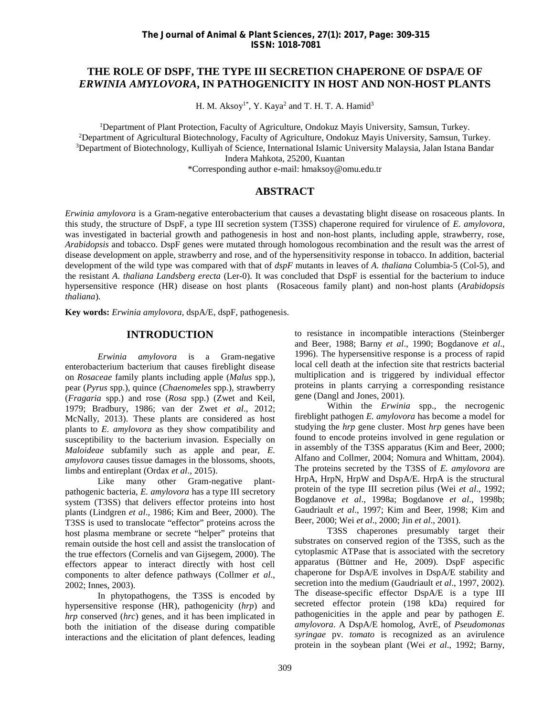## **THE ROLE OF DSPF, THE TYPE III SECRETION CHAPERONE OF DSPA/E OF** *ERWINIA AMYLOVORA***, IN PATHOGENICITY IN HOST AND NON-HOST PLANTS**

H. M. Aksoy<sup>1\*</sup>, Y. Kaya<sup>2</sup> and T. H. T. A. Hamid<sup>3</sup>

<sup>1</sup>Department of Plant Protection, Faculty of Agriculture, Ondokuz Mayis University, Samsun, Turkey. <sup>2</sup>Department of Agricultural Biotechnology, Faculty of Agriculture, Ondokuz Mayis University, Samsun, Turkey. <sup>3</sup>Department of Biotechnology, Kulliyah of Science, International Islamic University Malaysia, Jalan Istana Bandar Indera Mahkota, 25200, Kuantan \*Corresponding author e-mail: hmaksoy@omu.edu.tr

### **ABSTRACT**

*Erwinia amylovora* is a Gram-negative enterobacterium that causes a devastating blight disease on rosaceous plants. In this study, the structure of DspF, a type III secretion system (T3SS) chaperone required for virulence of *E. amylovora*, was investigated in bacterial growth and pathogenesis in host and non-host plants, including apple, strawberry, rose, *Arabidopsis* and tobacco. DspF genes were mutated through homologous recombination and the result was the arrest of disease development on apple, strawberry and rose, and of the hypersensitivity response in tobacco. In addition, bacterial development of the wild type was compared with that of *dspF* mutants in leaves of *A. thaliana* Columbia-5 (Col**-**5), and the resistant *A. thaliana Landsberg erecta* (Ler**-**0). It was concluded that DspF is essential for the bacterium to induce hypersensitive responce (HR) disease on host plants (Rosaceous family plant) and non-host plants (*Arabidopsis thaliana*).

**Key words:** *Erwinia amylovora*, dspA/E, dspF, pathogenesis.

#### **INTRODUCTION**

*Erwinia amylovora* is a Gram-negative enterobacterium bacterium that causes fireblight disease on *Rosaceae* family plants including apple (*Malus* spp.), pear (*Pyrus* spp.), quince (*Chaenomeles* spp.), strawberry (*Fragaria* spp.) and rose (*Rosa* spp.) (Zwet and Keil, 1979; Bradbury, 1986; van der Zwet *et al*., 2012; McNally, 2013). These plants are considered as host plants to *E. amylovora* as they show compatibility and susceptibility to the bacterium invasion. Especially on *Maloideae* subfamily such as apple and pear, *E. amylovora* causes tissue damages in the blossoms, shoots, limbs and entireplant (Ordax *et al*., 2015).

Like many other Gram-negative plant pathogenic bacteria, *E. amylovora* has a type III secretory system (T3SS) that delivers effector proteins into host plants (Lindgren *et al*., 1986; Kim and Beer, 2000). The T3SS is used to translocate "effector" proteins across the host plasma membrane or secrete "helper" proteins that remain outside the host cell and assist the translocation of the true effectors (Cornelis and van Gijsegem, 2000). The effectors appear to interact directly with host cell components to alter defence pathways (Collmer *et al*., 2002; Innes, 2003).

In phytopathogens, the T3SS is encoded by hypersensitive response (HR), pathogenicity (*hrp*) and *hrp* conserved (*hrc*) genes, and it has been implicated in both the initiation of the disease during compatible interactions and the elicitation of plant defences, leading

to resistance in incompatible interactions (Steinberger and Beer, 1988; Barny *et al*., 1990; Bogdanove *et al*., 1996). The hypersensitive response is a process of rapid local cell death at the infection site that restricts bacterial multiplication and is triggered by individual effector proteins in plants carrying a corresponding resistance gene (Dangl and Jones, 2001).

Within the *Erwinia* spp., the necrogenic fireblight pathogen *E. amylovora* has become a model for studying the *hrp* gene cluster. Most *hrp* genes have been found to encode proteins involved in gene regulation or in assembly of the T3SS apparatus (Kim and Beer, 2000; Alfano and Collmer, 2004; Nomura and Whittam, 2004). The proteins secreted by the T3SS of *E. amylovora* are HrpA, HrpN, HrpW and DspA/E. HrpA is the structural protein of the type III secretion pilus (Wei *et al*., 1992; Bogdanove *et al*., 1998a; Bogdanove *et al*., 1998b; Gaudriault *et al*., 1997; Kim and Beer, 1998; Kim and Beer, 2000; Wei *et al*., 2000; Jin *et al*., 2001).

T3SS chaperones presumably target their substrates on conserved region of the T3SS, such as the cytoplasmic ATPase that is associated with the secretory apparatus (Büttner and He, 2009). DspF aspecific chaperone for DspA/E involves in DspA/E stability and secretion into the medium (Gaudriault *et al*., 1997, 2002). The disease-specific effector DspA/E is a type III secreted effector protein (198 kDa) required for pathogenicities in the apple and pear by pathogen *E. amylovora*. A DspA/E homolog, AvrE, of *Pseudomonas syringae* pv. *tomato* is recognized as an avirulence protein in the soybean plant (Wei *et al*., 1992; Barny,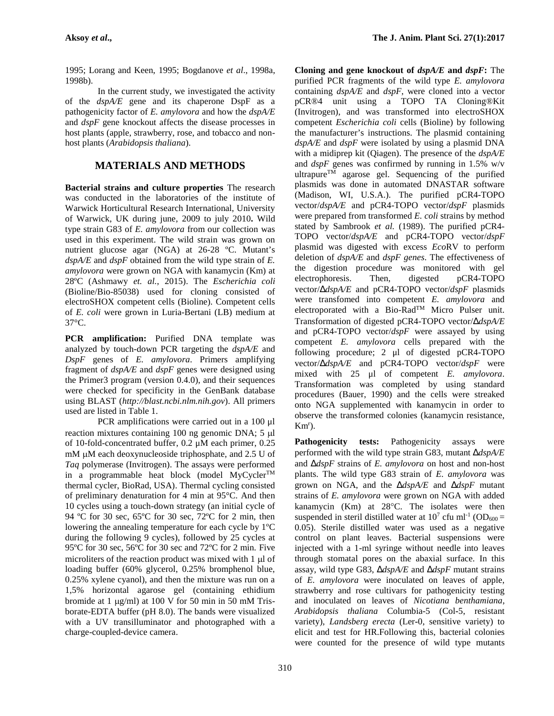1995; Lorang and Keen, 1995; Bogdanove *et al*., 1998a, 1998b).

In the current study, we investigated the activity of the *dspA/E* gene and its chaperone DspF as a pathogenicity factor of *E. amylovora* and how the *dspA/E* and *dspF* gene knockout affects the disease processes in host plants (apple, strawberry, rose, and tobacco and non host plants (*Arabidopsis thaliana*).

# **MATERIALS AND METHODS**

**Bacterial strains and culture properties** The research was conducted in the laboratories of the institute of Warwick Horticultural Research International, University of Warwick, UK during june, 2009 to july 2010**.** Wild type strain G83 of*E. amylovora* from our collection was used in this experiment. The wild strain was grown on nutrient glucose agar (NGA) at 26-28 ºC. Mutant's *dspA/E* and *dspF* obtained from the wild type strain of *E. amylovora* were grown on NGA with kanamycin (Km) at 28ºC (Ashmawy *et. al.*, 2015). The *Escherichia coli* (Bioline/Bio-85038) used for cloning consisted of electroSHOX competent cells (Bioline). Competent cells of *E. coli* were grown in Luria-Bertani (LB) medium at 37°C.

**PCR amplification:** Purified DNA template was analyzed by touch-down PCR targeting the *dspA/E* and *DspF* genes of *E. amylovora*. Primers amplifying fragment of *dspA/E* and *dspF* genes were designed using the Primer3 program (version 0.4.0), and their sequences were checked for specificity in the GenBank database using BLAST (*http://blast.ncbi.nlm.nih.gov*). All primers used are listed in Table 1.

PCR amplifications were carried out in a 100 μl reaction mixtures containing 100 ng genomic DNA; 5  $\mu$ <br>of 10-fold-concentrated buffer, 0.2  $\mu$ M each primer, 0.25 **Pathogenicity** of 10-fold-concentrated buffer, 0.2 μM each primer, 0.25  $mM$  uM each deoxynucleoside triphosphate, and  $2.5$  U of *Taq* polymerase (Invitrogen). The assays were performed in a programmable heat block (model  $MvCvcler^{TM}$ thermal cycler, BioRad, USA). Thermal cycling consisted of preliminary denaturation for 4 min at 95°C. And then 10 cycles using a touch-down strategy (an initial cycle of 94 ºC for 30 sec, 65ºC for 30 sec, 72ºC for 2 min, then lowering the annealing temperature for each cycle by 1ºC during the following 9 cycles), followed by 25 cycles at 95ºC for 30 sec, 56ºC for 30 sec and 72ºC for 2 min. Five microliters of the reaction product was mixed with  $1 \mu$  of loading buffer (60% glycerol, 0.25% bromphenol blue, 0.25% xylene cyanol), and then the mixture was run on a 1,5% horizontal agarose gel (containing ethidium bromide at 1  $\mu$ g/ml) at 100 V for 50 min in 50 mM Trisborate-EDTA buffer (pH 8.0). The bands were visualized with a UV transilluminator and photographed with a charge-coupled-device camera.

**Cloning and gene knockout of** *dspA/E* **and** *dspF***:** The purified PCR fragments of the wild type *E. amylovora* containing *dspA/E* and *dspF*, were cloned into a vector pCR®4 unit using a TOPO TA Cloning®Kit (Invitrogen), and was transformed into electroSHOX competent *Escherichia coli* cells (Bioline) by following the manufacturer's instructions. The plasmid containing *dspA/E* and *dspF* were isolated by using a plasmid DNA with a midiprep kit (Qiagen). The presence of the *dspA/E* and *dspF* genes was confirmed by running in 1.5% w/v ultrapure<sup>TM</sup> agarose gel. Sequencing of the purified plasmids was done in automated DNASTAR software (Madison, WI, U.S.A.). The purified pCR4-TOPO vector/*dspA/E* and pCR4-TOPO vector/*dspF* plasmids were prepared from transformed *E. coli* strains by method stated by Sambrook *et al.* (1989). The purified pCR4- TOPO vector/*dspA/E* and pCR4-TOPO vector/*dspF* plasmid was digested with excess *Eco*RV to perform deletion of *dspA/E* and *dspF genes*. The effectiveness of the digestion procedure was monitored with gel electrophoresis. Then, digested pCR4-TOPO vector/*dspA/E* and pCR4-TOPO vector/*dspF* plasmids were transfomed into competent *E. amylovora* and electroporated with a Bio-Rad<sup>TM</sup> Micro Pulser unit. Transformation of digested pCR4-TOPO vector/*dspA/E* and pCR4-TOPO vector/*dspF* were assayed by using competent *E. amylovora* cells prepared with the following procedure; 2 μl of digested pCR4-TOPO vector/*dspA/E* and pCR4-TOPO vector/*dspF* were mixed with 25 μl of competent *E. amylovora*. Transformation was completed by using standard procedures (Bauer, 1990) and the cells were streaked onto NGA supplemented with kanamycin in order to observe the transformed colonies (kanamycin resistance,  $Km^{r}$ ).

tests: Pathogenicity assays were performed with the wild type strain G83*,* mutant *dspA/E* and *dspF* strains of *E. amylovora* on host and non-host plants. The wild type G83 strain of *E. amylovora* was grown on NGA, and the *dspA/E* and *dspF* mutant strains of *E. amylovora* were grown on NGA with added kanamycin (Km) at  $28^{\circ}$ C. The isolates were then suspended in steril distilled water at  $10^7$  cfu ml<sup>-1</sup> (OD<sub>600</sub> = 0.05). Sterile distilled water was used as a negative control on plant leaves. Bacterial suspensions were injected with a 1-ml syringe without needle into leaves through stomatal pores on the abaxial surface. In this assay, wild type G83, *dspA/E* and *dspF* mutant strains of *E. amylovora* were inoculated on leaves of apple, strawberry and rose cultivars for pathogenicity testing and inoculated on leaves of *Nicotiana benthamiana*, *Arabidopsis thaliana* Columbia-5 (Col**-**5, resistant variety), *Landsberg erecta* (Ler**-**0, sensitive variety) to elicit and test for HR.Following this, bacterial colonies were counted for the presence of wild type mutants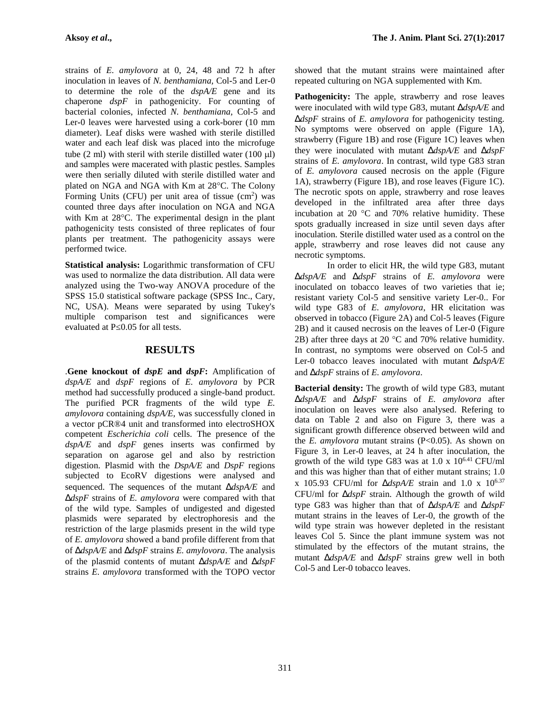strains of *E. amylovora* at 0, 24, 48 and 72 h after inoculation in leaves of *N. benthamiana,* Col**-**5 and Ler**-**0 to determine the role of the *dspA/E* gene and its chaperone *dspF* in pathogenicity. For counting of bacterial colonies, infected *N. benthamiana,* Col**-**5 and Ler**-**0 leaves were harvested using a cork-borer (10 mm diameter). Leaf disks were washed with sterile distilled water and each leaf disk was placed into the microfuge tube  $(2 \text{ ml})$  with steril with sterile distilled water  $(100 \text{ ul})$ and samples were macerated with plastic pestles. Samples were then serially diluted with sterile distilled water and plated on NGA and NGA with Km at 28°C. The Colony Forming Units (CFU) per unit area of tissue  $(cm<sup>2</sup>)$  was counted three days after inoculation on NGA and NGA with Km at  $28^{\circ}$ C. The experimental design in the plant pathogenicity tests consisted of three replicates of four plants per treatment. The pathogenicity assays were performed twice.

**Statistical analysis:** Logarithmic transformation of CFU was used to normalize the data distribution. All data were analyzed using the Two-way ANOVA procedure of the SPSS 15.0 statistical software package (SPSS Inc., Cary, NC, USA). Means were separated by using Tukey's multiple comparison test and significances were evaluated at P 0.05 for all tests.

### **RESULTS**

.**Gene knockout of** *dspE* **and** *dspF***:** Amplification of *dspA/E* and *dspF* regions of *E. amylovora* by PCR method had successfully produced a single-band product. The purified PCR fragments of the wild type *E. amylovora* containing *dspA/E*, was successfully cloned in a vector pCR®4 unit and transformed into electroSHOX competent *Escherichia coli* cells. The presence of the *dspA/E* and *dspF* genes inserts was confirmed by separation on agarose gel and also by restriction digestion. Plasmid with the *DspA/E* and *DspF* regions subjected to EcoRV digestions were analysed and sequenced. The sequences of the mutant *dspA/E* and *dspF* strains of *E. amylovora* were compared with that of the wild type. Samples of undigested and digested plasmids were separated by electrophoresis and the restriction of the large plasmids present in the wild type of *E. amylovora* showed a band profile different from that of *dspA/E* and *dspF* strains *E. amylovora*. The analysis of the plasmid contents of mutant *dspA/E* and *dspF* strains *E. amylovora* transformed with the TOPO vector

showed that the mutant strains were maintained after repeated culturing on NGA supplemented with Km.

Pathogenicity: The apple, strawberry and rose leaves were inoculated with wild type G83, mutant *UdspA/E* and *dspF* strains of *E. amylovora* for pathogenicity testing. No symptoms were observed on apple (Figure 1A), strawberry (Figure 1B) and rose (Figure 1C) leaves when they were inoculated with mutant *dspA/E* and *dspF* strains of *E. amylovora*. In contrast, wild type G83 stran of *E. amylovora* caused necrosis on the apple (Figure 1A), strawberry (Figure 1B), and rose leaves (Figure 1C). The necrotic spots on apple, strawberry and rose leaves developed in the infiltrated area after three days incubation at 20 $\degree$ C and 70% relative humidity. These spots gradually increased in size until seven days after inoculation. Sterile distilled water used as a control on the apple, strawberry and rose leaves did not cause any necrotic symptoms.

In order to elicit HR, the wild type G83, mutant *dspA/E* and *dspF* strains of *E. amylovora* were inoculated on tobacco leaves of two varieties that ie; resistant variety Col-5 and sensitive variety Ler-0.. For wild type G83 of *E. amylovora*, HR elicitation was observed in tobacco (Figure 2A) and Col-5 leaves (Figure 2B) and it caused necrosis on the leaves of Ler-0 (Figure 2B) after three days at 20  $^{\circ}$ C and 70% relative humidity. In contrast, no symptoms were observed on Col-5 and Ler-0 tobacco leaves inoculated with mutant *dspA/E* and *dspF* strains of *E. amylovora*.

**Bacterial density:** The growth of wild type G83, mutant *dspA/E* and *dspF* strains of *E. amylovora* after inoculation on leaves were also analysed. Refering to data on Table 2 and also on Figure 3, there was a significant growth difference observed between wild and the *E. amylovora* mutant strains (P<0.05). As shown on Figure 3, in Ler-0 leaves, at 24 h after inoculation, the growth of the wild type G83 was at  $1.0 \times 10^{6.41}$  CFU/ml and this was higher than that of either mutant strains; 1.0 x 105.93 CFU/ml for  $U$ *dspA/E* strain and 1.0 x 10<sup>6.37</sup> CFU/ml for *dspF* strain. Although the growth of wild type G83 was higher than that of *dspA/E* and *dspF* mutant strains in the leaves of Ler-0, the growth of the wild type strain was however depleted in the resistant leaves Col 5. Since the plant immune system was not stimulated by the effectors of the mutant strains, the mutant *dspA/E* and *dspF* strains grew well in both Col-5 and Ler-0 tobacco leaves.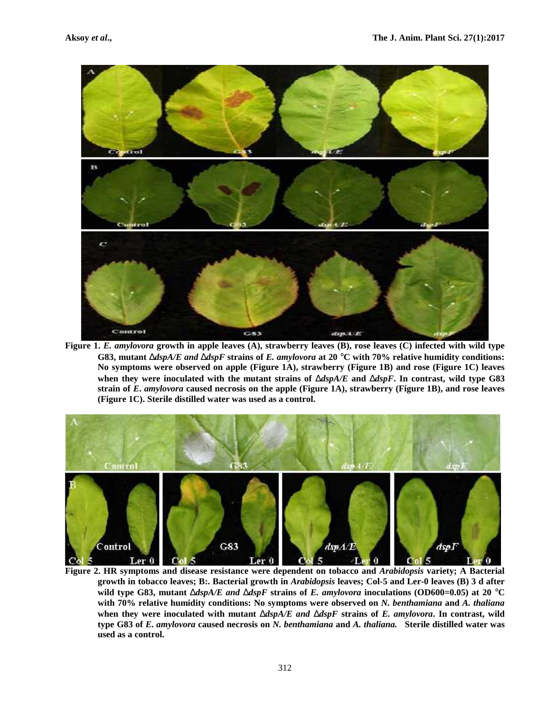

**Figure 1.** *E. amylovora* **growth in apple leaves (A), strawberry leaves (B), rose leaves (C) infected with wild type G83, mutant** *dspA/E and dspF* **strains of** *E. amylovora* **at 20 C with 70% relative humidity conditions: No symptoms were observed on apple (Figure 1A), strawberry (Figure 1B) and rose (Figure 1C) leaves when they were inoculated with the mutant strains of** *dspA/E* **and** *dspF***. In contrast, wild type G83 strain of** *E***.** *amylovora* **caused necrosis on the apple (Figure 1A), strawberry (Figure 1B), and rose leaves (Figure 1C). Sterile distilled water was used as a control.**



**Figure 2. HR symptoms and disease resistance were dependent on tobacco and** *Arabidopsis* **variety; A Bacterial growth in tobacco leaves; B:. Bacterial growth in** *Arabidopsis* **leaves; Col-5 and Ler-0 leaves (B) 3 d after** wild type G83, mutant  $\bigcup \text{dspA/E}$  and  $\bigcup \text{dspF}$  strains of *E. amylovora* inoculations (OD600=0.05) at 20  $\hat{C}$ C **with 70% relative humidity conditions: No symptoms were observed on** *N. benthamiana* **and** *A. thaliana* **when they were inoculated with mutant** *dspA/E and dspF* **strains of** *E. amylovora***. In contrast, wild type G83 of** *E. amylovora* **caused necrosis on** *N. benthamiana* **and** *A. thaliana.* **Sterile distilled water was used as a control.**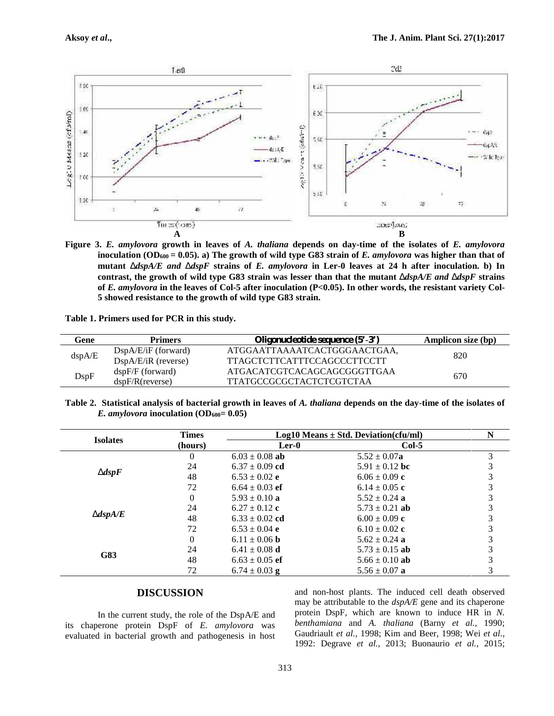

**Figure 3.** *E. amylovora* **growth in leaves of** *A. thaliana* **depends on day-time of the isolates of** *E. amylovora* **inoculation (OD<sup>600</sup> = 0.05). a) The growth of wild type G83 strain of** *E. amylovora* **was higher than that of mutant** *dspA/E and dspF* **strains of** *E. amylovora* **in Ler-0 leaves at 24 h after inoculation. b) In contrast, the growth of wild type G83 strain was lesser than that the mutant** *dspA/E and dspF* **strains of** *E. amylovora* **in the leaves of Col-5 after inoculation (P<0.05). In other words, the resistant variety Col- 5 showed resistance to the growth of wild type G83 strain.**

| Gene   | <b>Primers</b>        | Oligonucleotide sequence $(5^3-3^3)$ | <b>Amplicon size (bp)</b> |  |
|--------|-----------------------|--------------------------------------|---------------------------|--|
| dspA/E | $DspA/E/iF$ (forward) | ATGGAATTAAAATCACTGGGAACTGAA,         | 820                       |  |
|        | $DspA/E/iR$ (reverse) | <b>TTAGCTCTTCATTTCCAGCCCTTCCTT</b>   |                           |  |
| DspF   | $dspF/F$ (forward)    | ATGACATCGTCACAGCAGCGGGTTGAA          |                           |  |
|        | dspF/R(reverse)       | <b>TTATGCCGCGCTACTCTCGTCTAA</b>      | 670                       |  |

**Table 2. Statistical analysis of bacterial growth in leaves of** *A. thaliana* **depends on the day-time of the isolates of**

|                   | <b>Times</b> | $Log10$ Means $\pm$ Std. Deviation(cfu/ml) |                    | N |
|-------------------|--------------|--------------------------------------------|--------------------|---|
| <b>Isolates</b>   | (hours)      | $Ler-0$                                    | $Col-5$            |   |
|                   | 0            | $6.03 \pm 0.08$ ab                         | $5.52 \pm 0.07$ a  |   |
|                   | 24           | $6.37 \pm 0.09$ cd                         | 5.91 $\pm$ 0.12 bc |   |
| $\bigcup$ dsp $F$ | 48           | $6.53 \pm 0.02$ e                          | $6.06 \pm 0.09$ c  |   |
|                   | 72           | $6.64 \pm 0.03$ ef                         | $6.14 \pm 0.05$ c  |   |
|                   | $\theta$     | $5.93 \pm 0.10$ a                          | $5.52 \pm 0.24$ a  |   |
|                   | 24           | $6.27 \pm 0.12$ c                          | $5.73 \pm 0.21$ ab |   |
| $U$ dsp $A$ /E    | 48           | $6.33 \pm 0.02$ cd                         | $6.00 \pm 0.09$ c  |   |
|                   | 72           | $6.53 \pm 0.04$ e                          | $6.10 \pm 0.02$ c  |   |
|                   | 0            | $6.11 \pm 0.06$ b                          | 5.62 $\pm$ 0.24 a  |   |
|                   | 24           | $6.41 \pm 0.08$ d                          | $5.73 \pm 0.15$ ab |   |
| G83               | 48           | $6.63 \pm 0.05$ ef                         | 5.66 $\pm$ 0.10 ab |   |
|                   | 72           | $6.74 \pm 0.03$ g                          | $5.56 \pm 0.07$ a  |   |

# **DISCUSSION**

*E. amylovora* inoculation  $(OD_{600} = 0.05)$ 

**Table 1. Primers used for PCR in this study.**

In the current study, the role of the DspA/E and its chaperone protein DspF of *E. amylovora* was evaluated in bacterial growth and pathogenesis in host

and non-host plants. The induced cell death observed may be attributable to the *dspA/E* gene and its chaperone protein DspF, which are known to induce HR in *N. benthamiana* and *A. thaliana* (Barny *et al.,* 1990; Gaudriault *et al.,* 1998; Kim and Beer, 1998; Wei *et al.,* 1992: Degrave *et al.*, 2013; Buonaurio *et al.*, 2015;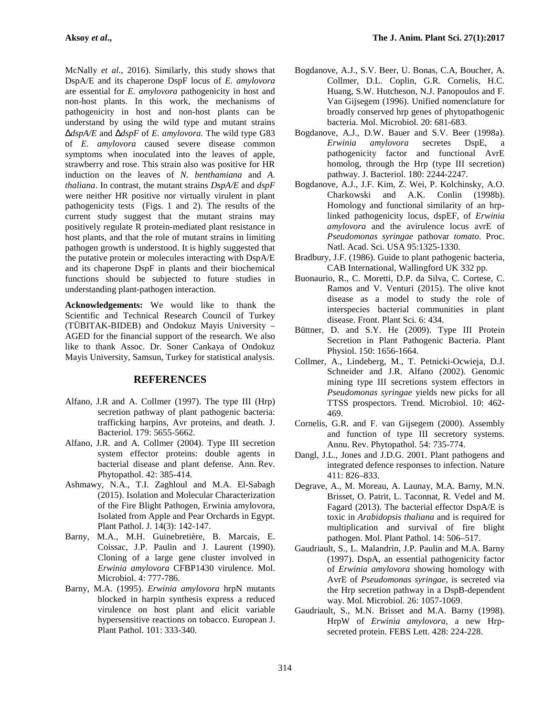McNally *et al.*, 2016). Similarly, this study shows that DspA/E and its chaperone DspF locus of *E. amylovora* are essential for *E. amylovora* pathogenicity in host and non-host plants. In this work, the mechanisms of pathogenicity in host and non-host plants can be understand by using the wild type and mutant strains *dspA/E* and *dspF* of *E. amylovora.* The wild type G83 of *E. amylovora* caused severe disease common symptoms when inoculated into the leaves of apple, strawberry and rose. This strain also was positive for HR induction on the leaves of *N. benthamiana* and *A. thaliana*. In contrast, the mutant strains *DspA/E* and *dspF* were neither HR positive nor virtually virulent in plant pathogenicity tests (Figs. 1 and 2). The results of the current study suggest that the mutant strains may positively regulate R protein-mediated plant resistance in host plants, and that the role of mutant strains in limiting pathogen growth is understood. It is highly suggested that the putative protein or molecules interacting with DspA/E and its chaperone DspF in plants and their biochemical functions should be subjected to future studies in understanding plant-pathogen interaction.

**Acknowledgements:** We would like to thank the Scientific and Technical Research Council of Turkey (TÜBITAK-BIDEB) and Ondokuz Mayis University – AGED for the financial support of the research. We also like to thank Assoc. Dr. Soner Cankaya of Ondokuz Mayis University, Samsun, Turkey for statistical analysis.

### **REFERENCES**

- Alfano, J.R and A. Collmer (1997). The type III (Hrp) secretion pathway of plant pathogenic bacteria: trafficking harpins, Avr proteins, and death. J. Bacteriol. 179: 5655-5662.
- Alfano, J.R. and A. Collmer (2004). Type III secretion system effector proteins: double agents in bacterial disease and plant defense. Ann. Rev. Phytopathol. 42: 385-414.
- Ashmawy, N.A., T.I. Zaghloul and M.A. El-Sabagh (2015). Isolation and Molecular Characterization of the Fire Blight Pathogen, Erwinia amylovora, Isolated from Apple and Pear Orchards in Egypt. Plant Pathol. J. 14(3): 142-147.
- Barny, M.A., M.H. Guinebretière, B. Marcais, E. Coissac, J.P. Paulin and J. Laurent (1990). Cloning of a large gene cluster involved in *Erwinia amylovora* CFBP1430 virulence. Mol. Microbiol. 4: 777-786.
- Barny, M.A. (1995). *Erwinia amylovora* hrpN mutants blocked in harpin synthesis express a reduced virulence on host plant and elicit variable hypersensitive reactions on tobacco. European J. Plant Pathol. 101: 333-340.
- Bogdanove, A.J., S.V. Beer, U. Bonas, C.A, Boucher, A. Collmer, D.L. Coplin, G.R. Cornelis, H.C. Huang, S.W. Hutcheson, N.J. Panopoulos and F. Van Gijsegem (1996). Unified nomenclature for broadly conserved hrp genes of phytopathogenic bacteria. Mol. Microbiol. 20: 681-683.
- Bogdanove, A.J., D.W. Bauer and S.V. Beer (1998a). *Erwinia amylovora* secretes DspE, a pathogenicity factor and functional AvrE homolog, through the Hrp (type III secretion) pathway. J. Bacteriol. 180: 2244-2247.
- Bogdanove, A.J., J.F. Kim, Z. Wei, P. Kolchinsky, A.O. Charkowski and A.K. Conlin (1998b). Homology and functional similarity of an hrplinked pathogenicity locus, dspEF, of *Erwinia amylovora* and the avirulence locus avrE of *Pseudomonas syringae* pathovar *tomato*. Proc. Natl. Acad. Sci. USA 95:1325-1330.
- Bradbury, J.F. (1986). Guide to plant pathogenic bacteria, CAB International, Wallingford UK 332 pp.
- Buonaurio, R., C. Moretti, D.P. da Silva, C. Cortese, C. Ramos and V. Venturi (2015). The olive knot disease as a model to study the role of interspecies bacterial communities in plant disease. Front. Plant Sci. 6: 434.
- Büttner, D. and S.Y. He (2009). Type III Protein Secretion in Plant Pathogenic Bacteria. Plant Physiol. 150: 1656-1664.
- Collmer, A., Lindeberg, M., T. Petnicki-Ocwieja, D.J. Schneider and J.R. Alfano (2002). Genomic mining type III secretions system effectors in *Pseudomonas syringae* yields new picks for all TTSS prospectors. Trend. Microbiol. 10: 462- 469.
- Cornelis, G.R. and F. van Gijsegem (2000). Assembly and function of type III secretory systems. Annu. Rev. Phytopathol. 54: 735-774.
- Dangl, J.L., Jones and J.D.G. 2001. Plant pathogens and integrated defence responses to infection. Nature 411: 826–833.
- Degrave, A., M. Moreau, A. Launay, M.A. Barny, M.N. Brisset, O. Patrit, L. Taconnat, R. Vedel and M. Fagard (2013). The bacterial effector DspA/E is toxic in *Arabidopsis thaliana* and is required for multiplication and survival of fire blight pathogen. Mol. Plant Pathol. 14: 506–517.
- Gaudriault, S., L. Malandrin, J.P. Paulin and M.A. Barny (1997). DspA, an essential pathogenicity factor of *Erwinia amylovora* showing homology with AvrE of *Pseudomonas syringae*, is secreted via the Hrp secretion pathway in a DspB-dependent way. Mol. Microbiol. 26: 1057-1069.
- Gaudriault, S., M.N. Brisset and M.A. Barny (1998). HrpW of *Erwinia amylovora*, a new Hrp secreted protein. FEBS Lett. 428: 224-228.